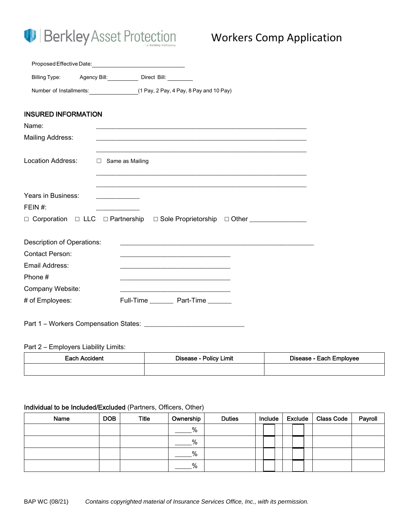

| Proposed Effective Date:   |                                                                     |
|----------------------------|---------------------------------------------------------------------|
|                            | Billing Type: Agency Bill: Direct Bill: Direct Bill:                |
|                            | Number of Installments: (1 Pay, 2 Pay, 4 Pay, 8 Pay and 10 Pay)     |
| <b>INSURED INFORMATION</b> |                                                                     |
|                            |                                                                     |
| Name:                      |                                                                     |
| Mailing Address:           |                                                                     |
|                            |                                                                     |
| Location Address:          | $\Box$ Same as Mailing                                              |
|                            |                                                                     |
|                            |                                                                     |
|                            |                                                                     |
| Years in Business:         | <u> 1989 - Johann Barbara, martin a</u>                             |
| FEIN #:                    |                                                                     |
|                            |                                                                     |
|                            |                                                                     |
| Description of Operations: | <u> 1989 - Johann John Stone, mars and deutscher Stone († 1989)</u> |
| <b>Contact Person:</b>     |                                                                     |
| Email Address:             |                                                                     |
|                            | <u> 1989 - Johann Barbara, margaret eta idazlea (h. 1989).</u>      |
| Phone#                     |                                                                     |
| Company Website:           |                                                                     |
| # of Employees:            | Full-Time __________ Part-Time ________                             |
|                            |                                                                     |
|                            |                                                                     |

## Part 2 – Employers Liability Limits:

| Each Accident | Disease - Policy Limit | Disease - Each Employee |
|---------------|------------------------|-------------------------|
|               |                        |                         |

### Individual to be Included/Excluded (Partners, Officers, Other)

| Name | <b>DOB</b> | <b>Title</b> | Ownership | <b>Duties</b> | Include |  | Exclude | <b>Class Code</b> | Payroll |
|------|------------|--------------|-----------|---------------|---------|--|---------|-------------------|---------|
|      |            |              | %         |               |         |  |         |                   |         |
|      |            |              | %         |               |         |  |         |                   |         |
|      |            |              | %         |               |         |  |         |                   |         |
|      |            |              | $\%$      |               |         |  |         |                   |         |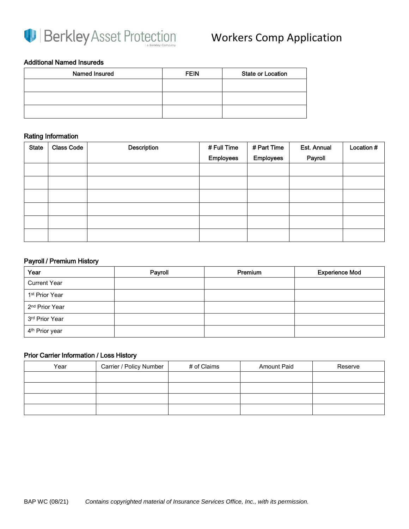

### Additional Named Insureds

| Named Insured | <b>FEIN</b> | <b>State or Location</b> |
|---------------|-------------|--------------------------|
|               |             |                          |
|               |             |                          |
|               |             |                          |

### Rating Information

| <b>State</b> | <b>Class Code</b> | <b>Description</b> | # Full Time      | # Part Time      | Est. Annual | Location # |
|--------------|-------------------|--------------------|------------------|------------------|-------------|------------|
|              |                   |                    | <b>Employees</b> | <b>Employees</b> | Payroll     |            |
|              |                   |                    |                  |                  |             |            |
|              |                   |                    |                  |                  |             |            |
|              |                   |                    |                  |                  |             |            |
|              |                   |                    |                  |                  |             |            |
|              |                   |                    |                  |                  |             |            |
|              |                   |                    |                  |                  |             |            |

### Payroll / Premium History

| Year                       | Payroll | Premium | <b>Experience Mod</b> |
|----------------------------|---------|---------|-----------------------|
| <b>Current Year</b>        |         |         |                       |
| 1 <sup>st</sup> Prior Year |         |         |                       |
| 2 <sup>nd</sup> Prior Year |         |         |                       |
| 3rd Prior Year             |         |         |                       |
| 4 <sup>th</sup> Prior year |         |         |                       |

### Prior Carrier Information / Loss History

| Year | Carrier / Policy Number | # of Claims | <b>Amount Paid</b> | Reserve |
|------|-------------------------|-------------|--------------------|---------|
|      |                         |             |                    |         |
|      |                         |             |                    |         |
|      |                         |             |                    |         |
|      |                         |             |                    |         |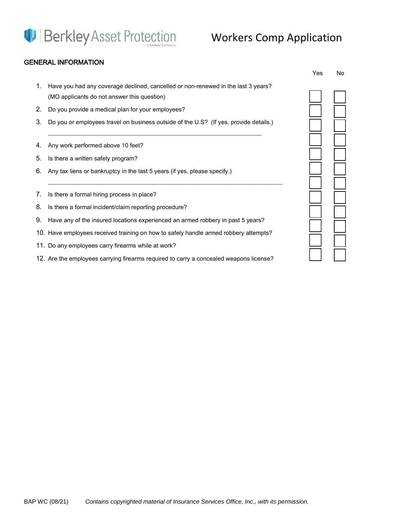# **D** Berkley Asset Protection

# Workers Comp Application

## GENERAL INFORMATION

|    |                                                                                                                                  | Yes | No. |
|----|----------------------------------------------------------------------------------------------------------------------------------|-----|-----|
| 1. | Have you had any coverage declined, cancelled or non-renewed in the last 3 years?<br>(MO applicants do not answer this question) |     |     |
| 2. | Do you provide a medical plan for your employees?                                                                                |     |     |
| 3. | Do you or employees travel on business outside of the U.S? (If yes, provide details.)                                            |     |     |
| 4. | Any work performed above 10 feet?                                                                                                |     |     |
| 5. | Is there a written safety program?                                                                                               |     |     |
| 6. | Any tax liens or bankruptcy in the last 5 years (if yes, please specify.)                                                        |     |     |
|    |                                                                                                                                  |     |     |
| 7. | Is there a formal hiring process in place?                                                                                       |     |     |
| 8. | Is there a formal incident/claim reporting procedure?                                                                            |     |     |
| 9. | Have any of the insured locations experienced an armed robbery in past 5 years?                                                  |     |     |
|    | 10. Have employees received training on how to safely handle armed robbery attempts?                                             |     |     |
|    | 11. Do any employees carry firearms while at work?                                                                               |     |     |

12. Are the employees carrying firearms required to carry a concealed weapons license?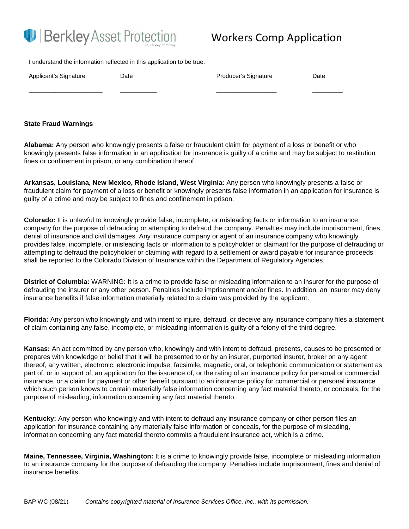

## Workers Comp Application

I understand the information reflected in this application to be true:

| Applicant's Signature | Date | Producer's Signature | Date |
|-----------------------|------|----------------------|------|
|                       |      |                      |      |

#### **State Fraud Warnings**

**Alabama:** Any person who knowingly presents a false or fraudulent claim for payment of a loss or benefit or who knowingly presents false information in an application for insurance is guilty of a crime and may be subject to restitution fines or confinement in prison, or any combination thereof.

**Arkansas, Louisiana, New Mexico, Rhode Island, West Virginia:** Any person who knowingly presents a false or fraudulent claim for payment of a loss or benefit or knowingly presents false information in an application for insurance is guilty of a crime and may be subject to fines and confinement in prison.

**Colorado:** It is unlawful to knowingly provide false, incomplete, or misleading facts or information to an insurance company for the purpose of defrauding or attempting to defraud the company. Penalties may include imprisonment, fines, denial of insurance and civil damages. Any insurance company or agent of an insurance company who knowingly provides false, incomplete, or misleading facts or information to a policyholder or claimant for the purpose of defrauding or attempting to defraud the policyholder or claiming with regard to a settlement or award payable for insurance proceeds shall be reported to the Colorado Division of Insurance within the Department of Regulatory Agencies.

**District of Columbia:** WARNING: It is a crime to provide false or misleading information to an insurer for the purpose of defrauding the insurer or any other person. Penalties include imprisonment and/or fines. In addition, an insurer may deny insurance benefits if false information materially related to a claim was provided by the applicant.

**Florida:** Any person who knowingly and with intent to injure, defraud, or deceive any insurance company files a statement of claim containing any false, incomplete, or misleading information is guilty of a felony of the third degree.

**Kansas:** An act committed by any person who, knowingly and with intent to defraud, presents, causes to be presented or prepares with knowledge or belief that it will be presented to or by an insurer, purported insurer, broker on any agent thereof, any written, electronic, electronic impulse, facsimile, magnetic, oral, or telephonic communication or statement as part of, or in support of, an application for the issuance of, or the rating of an insurance policy for personal or commercial insurance, or a claim for payment or other benefit pursuant to an insurance policy for commercial or personal insurance which such person knows to contain materially false information concerning any fact material thereto; or conceals, for the purpose of misleading, information concerning any fact material thereto.

**Kentucky:** Any person who knowingly and with intent to defraud any insurance company or other person files an application for insurance containing any materially false information or conceals, for the purpose of misleading, information concerning any fact material thereto commits a fraudulent insurance act, which is a crime.

**Maine, Tennessee, Virginia, Washington:** It is a crime to knowingly provide false, incomplete or misleading information to an insurance company for the purpose of defrauding the company. Penalties include imprisonment, fines and denial of insurance benefits.